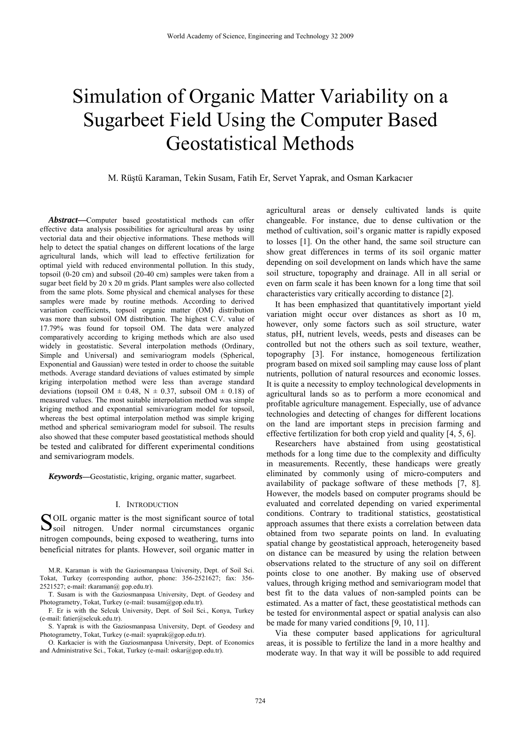# Simulation of Organic Matter Variability on a Sugarbeet Field Using the Computer Based Geostatistical Methods

M. Rüştü Karaman, Tekin Susam, Fatih Er, Servet Yaprak, and Osman Karkacıer

*Abstract***—**Computer based geostatistical methods can offer effective data analysis possibilities for agricultural areas by using vectorial data and their objective informations. These methods will help to detect the spatial changes on different locations of the large agricultural lands, which will lead to effective fertilization for optimal yield with reduced environmental pollution. In this study, topsoil (0-20 cm) and subsoil (20-40 cm) samples were taken from a sugar beet field by 20 x 20 m grids. Plant samples were also collected from the same plots. Some physical and chemical analyses for these samples were made by routine methods. According to derived variation coefficients, topsoil organic matter (OM) distribution was more than subsoil OM distribution. The highest C.V. value of 17.79% was found for topsoil OM. The data were analyzed comparatively according to kriging methods which are also used widely in geostatistic. Several interpolation methods (Ordinary, Simple and Universal) and semivariogram models (Spherical, Exponential and Gaussian) were tested in order to choose the suitable methods. Average standard deviations of values estimated by simple kriging interpolation method were less than average standard deviations (topsoil OM  $\pm$  0.48, N  $\pm$  0.37, subsoil OM  $\pm$  0.18) of measured values. The most suitable interpolation method was simple kriging method and exponantial semivariogram model for topsoil, whereas the best optimal interpolation method was simple kriging method and spherical semivariogram model for subsoil. The results also showed that these computer based geostatistical methods should be tested and calibrated for different experimental conditions and semivariogram models.

*Keywords***—**Geostatistic, kriging, organic matter, sugarbeet.

# I. INTRODUCTION

OIL organic matter is the most significant source of total SOIL organic matter is the most significant source of total<br>Soil nitrogen. Under normal circumstances organic nitrogen compounds, being exposed to weathering, turns into beneficial nitrates for plants. However, soil organic matter in

M.R. Karaman is with the Gaziosmanpasa University, Dept. of Soil Sci. Tokat, Turkey (corresponding author, phone: 356-2521627; fax: 356- 2521527; e-mail: rkaraman@ gop.edu.tr).

T. Susam is with the Gaziosmanpasa University, Dept. of Geodesy and Photogrametry, Tokat, Turkey (e-mail: tsusam@gop.edu.tr).

F. Er is with the Selcuk University, Dept. of Soil Sci., Konya, Turkey (e-mail: fatier@selcuk.edu.tr).

S. Yaprak is with the Gaziosmanpasa University, Dept. of Geodesy and Photogrametry, Tokat, Turkey (e-mail: syaprak@gop.edu.tr).

O. Karkacier is with the Gaziosmanpasa University, Dept. of Economics and Administrative Sci., Tokat, Turkey (e-mail: oskar@gop.edu.tr).

agricultural areas or densely cultivated lands is quite changeable. For instance, due to dense cultivation or the method of cultivation, soil's organic matter is rapidly exposed to losses [1]. On the other hand, the same soil structure can show great differences in terms of its soil organic matter depending on soil development on lands which have the same soil structure, topography and drainage. All in all serial or even on farm scale it has been known for a long time that soil characteristics vary critically according to distance [2].

It has been emphasized that quantitatively important yield variation might occur over distances as short as 10 m, however, only some factors such as soil structure, water status, pH, nutrient levels, weeds, pests and diseases can be controlled but not the others such as soil texture, weather, topography [3]. For instance, homogeneous fertilization program based on mixed soil sampling may cause loss of plant nutrients, pollution of natural resources and economic losses. It is quite a necessity to employ technological developments in agricultural lands so as to perform a more economical and profitable agriculture management. Especially, use of advance technologies and detecting of changes for different locations on the land are important steps in precision farming and effective fertilization for both crop yield and quality [4, 5, 6].

Researchers have abstained from using geostatistical methods for a long time due to the complexity and difficulty in measurements. Recently, these handicaps were greatly eliminated by commonly using of micro-computers and availability of package software of these methods [7, 8]. However, the models based on computer programs should be evaluated and correlated depending on varied experimental conditions. Contrary to traditional statistics, geostatistical approach assumes that there exists a correlation between data obtained from two separate points on land. In evaluating spatial change by geostatistical approach, heterogeneity based on distance can be measured by using the relation between observations related to the structure of any soil on different points close to one another. By making use of observed values, through kriging method and semivariogram model that best fit to the data values of non-sampled points can be estimated. As a matter of fact, these geostatistical methods can be tested for environmental aspect or spatial analysis can also be made for many varied conditions [9, 10, 11].

Via these computer based applications for agricultural areas, it is possible to fertilize the land in a more healthy and moderate way. In that way it will be possible to add required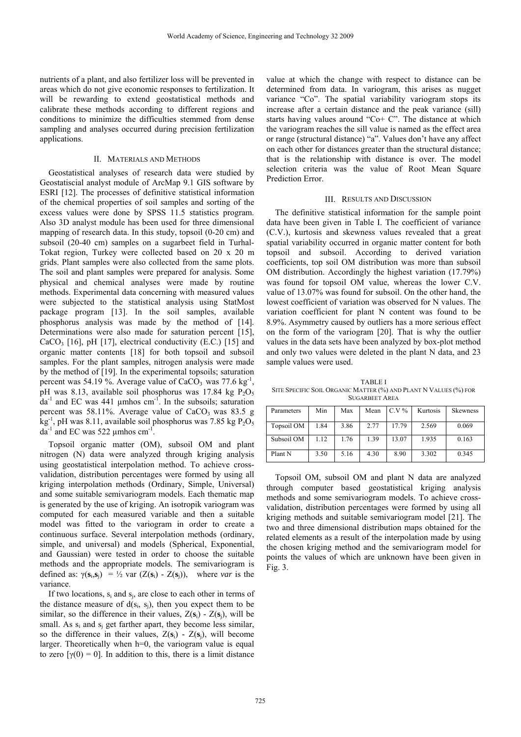nutrients of a plant, and also fertilizer loss will be prevented in areas which do not give economic responses to fertilization. It will be rewarding to extend geostatistical methods and calibrate these methods according to different regions and conditions to minimize the difficulties stemmed from dense sampling and analyses occurred during precision fertilization applications.

## II. MATERIALS AND METHODS

Geostatistical analyses of research data were studied by Geostatiscial analyst module of ArcMap 9.1 GIS software by ESRI [12]. The processes of definitive statistical information of the chemical properties of soil samples and sorting of the excess values were done by SPSS 11.5 statistics program. Also 3D analyst module has been used for three dimensional mapping of research data. In this study, topsoil (0-20 cm) and subsoil (20-40 cm) samples on a sugarbeet field in Turhal-Tokat region, Turkey were collected based on 20 x 20 m grids. Plant samples were also collected from the same plots. The soil and plant samples were prepared for analysis. Some physical and chemical analyses were made by routine methods. Experimental data concerning with measured values were subjected to the statistical analysis using StatMost package program [13]. In the soil samples, available phosphorus analysis was made by the method of [14]. Determinations were also made for saturation percent [15],  $CaCO<sub>3</sub>$  [16], pH [17], electrical conductivity (E.C.) [15] and organic matter contents [18] for both topsoil and subsoil samples. For the plant samples, nitrogen analysis were made by the method of [19]. In the experimental topsoils; saturation percent was 54.19 %. Average value of CaCO<sub>3</sub> was 77.6 kg<sup>-1</sup> pH was 8.13, available soil phosphorus was 17.84 kg  $P_2O_5$  $da^{-1}$  and EC was 441 µmhos cm<sup>-1</sup>. In the subsoils; saturation percent was 58.11%. Average value of  $CaCO<sub>3</sub>$  was 83.5 g  $\text{kg}^{-1}$ , pH was 8.11, available soil phosphorus was 7.85 kg  $\text{P}_2\text{O}_5$  $da^{-1}$  and EC was 522 µmhos cm<sup>-1</sup>.

Topsoil organic matter (OM), subsoil OM and plant nitrogen (N) data were analyzed through kriging analysis using geostatistical interpolation method. To achieve crossvalidation, distribution percentages were formed by using all kriging interpolation methods (Ordinary, Simple, Universal) and some suitable semivariogram models. Each thematic map is generated by the use of kriging. An isotropik variogram was computed for each measured variable and then a suitable model was fitted to the variogram in order to create a continuous surface. Several interpolation methods (ordinary, simple, and universal) and models (Spherical, Exponential, and Gaussian) were tested in order to choose the suitable methods and the appropriate models. The semivariogram is defined as:  $\gamma(\mathbf{s}_i, \mathbf{s}_i) = \frac{1}{2}$  var  $(Z(\mathbf{s}_i) - Z(\mathbf{s}_i))$ , where *var* is the variance.

If two locations,  $s_i$  and  $s_j$ , are close to each other in terms of the distance measure of  $d(s_i, s_j)$ , then you expect them to be similar, so the difference in their values,  $Z(s_i)$  -  $Z(s_j)$ , will be small. As  $s_i$  and  $s_j$  get farther apart, they become less similar, so the difference in their values,  $Z(s_i) - Z(s_j)$ , will become larger. Theoretically when h=0, the variogram value is equal to zero  $[\gamma(0) = 0]$ . In addition to this, there is a limit distance

value at which the change with respect to distance can be determined from data. In variogram, this arises as nugget variance "Co". The spatial variability variogram stops its increase after a certain distance and the peak variance (sill) starts having values around "Co+ C". The distance at which the variogram reaches the sill value is named as the effect area or range (structural distance) "a". Values don't have any affect on each other for distances greater than the structural distance; that is the relationship with distance is over. The model selection criteria was the value of Root Mean Square Prediction Error.

#### III. RESULTS AND DISCUSSION

The definitive statistical information for the sample point data have been given in Table I. The coefficient of variance (C.V.), kurtosis and skewness values revealed that a great spatial variability occurred in organic matter content for both topsoil and subsoil. According to derived variation coefficients, top soil OM distribution was more than subsoil OM distribution. Accordingly the highest variation (17.79%) was found for topsoil OM value, whereas the lower C.V. value of 13.07% was found for subsoil. On the other hand, the lowest coefficient of variation was observed for N values. The variation coefficient for plant N content was found to be 8.9%. Asymmetry caused by outliers has a more serious effect on the form of the variogram [20]. That is why the outlier values in the data sets have been analyzed by box-plot method and only two values were deleted in the plant N data, and 23 sample values were used.

TABLE I SITE SPECIFIC SOIL ORGANIC MATTER (%) AND PLANT N VALUES (%) FOR SUGARBEET AREA

| Parameters | Min  | Max  | Mean | $C.V\%$ | Kurtosis | <b>Skewness</b> |
|------------|------|------|------|---------|----------|-----------------|
| Topsoil OM | 1.84 | 3.86 | 2.77 | 17.79   | 2.569    | 0.069           |
| Subsoil OM | 1.12 | 1.76 | 1.39 | 13.07   | 1.935    | 0.163           |
| Plant N    | 3.50 | 5.16 | 4.30 | 8.90    | 3.302    | 0.345           |

Topsoil OM, subsoil OM and plant N data are analyzed through computer based geostatistical kriging analysis methods and some semivariogram models. To achieve crossvalidation, distribution percentages were formed by using all kriging methods and suitable semivariogram model [21]. The two and three dimensional distribution maps obtained for the related elements as a result of the interpolation made by using the chosen kriging method and the semivariogram model for points the values of which are unknown have been given in Fig. 3.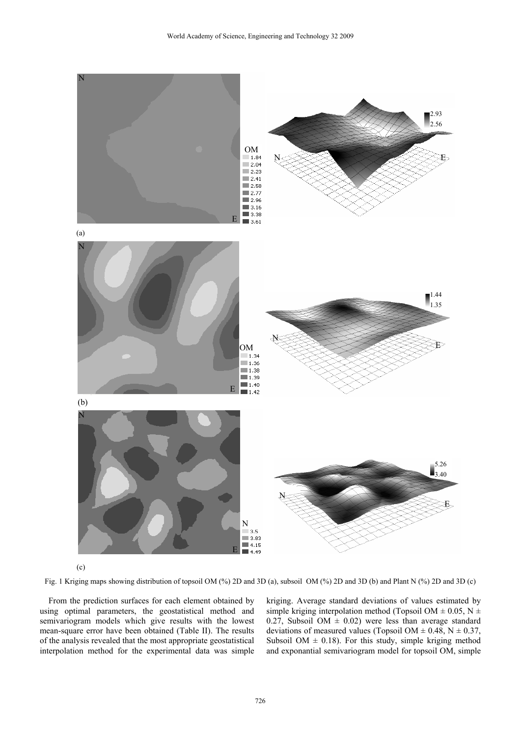

(c)

Fig. 1 Kriging maps showing distribution of topsoil OM (%) 2D and 3D (a), subsoil OM (%) 2D and 3D (b) and Plant N (%) 2D and 3D (c)

From the prediction surfaces for each element obtained by using optimal parameters, the geostatistical method and semivariogram models which give results with the lowest mean-square error have been obtained (Table II). The results of the analysis revealed that the most appropriate geostatistical interpolation method for the experimental data was simple kriging. Average standard deviations of values estimated by simple kriging interpolation method (Topsoil OM  $\pm$  0.05, N  $\pm$ 0.27, Subsoil OM  $\pm$  0.02) were less than average standard deviations of measured values (Topsoil OM  $\pm$  0.48, N  $\pm$  0.37, Subsoil OM  $\pm$  0.18). For this study, simple kriging method and exponantial semivariogram model for topsoil OM, simple